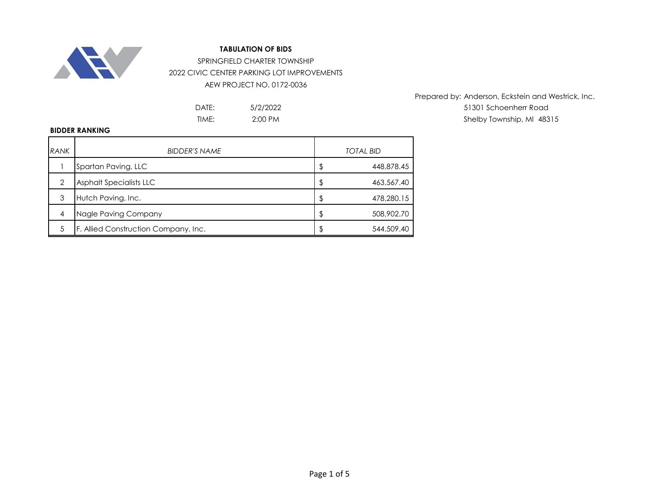

## **TABULATION OF BIDS**

SPRINGFIELD CHARTER TOWNSHIP 2022 CIVIC CENTER PARKING LOT IMPROVEMENTS AEW PROJECT NO. 0172-0036

> 5/2/2022 2:00 PM

Prepared by: Anderson, Eckstein and Westrick, Inc. DATE: 5/2/2022 51301 Schoenherr Road TIME: 2:00 PM 2:00 PM 2:00 PM 2:00 PM 3:00 PM 3:00 PM 5:00 PM 5:00 PM 5:00 PM 5:00 PM 5:00 PM 5:00 PM 5:00 PM 5:00 PM 5:00 PM 5:00 PM 5:00 PM 5:00 PM 5:00 PM 5:00 PM 5:00 PM 5:00 PM 5:00 PM 5:00 PM 5:00 PM 5:00 PM 5:00 PM

## **BIDDER RANKING**

| <b>RANK</b> | <b>BIDDER'S NAME</b>                 | <b>TOTAL BID</b> |
|-------------|--------------------------------------|------------------|
|             | Spartan Paving, LLC                  | \$<br>448,878.45 |
| 2           | <b>Asphalt Specialists LLC</b>       | \$<br>463,567.40 |
| 3           | Hutch Paving, Inc.                   | \$<br>478,280.15 |
| 4           | Nagle Paving Company                 | \$<br>508,902.70 |
|             | F. Allied Construction Company, Inc. | \$<br>544,509.40 |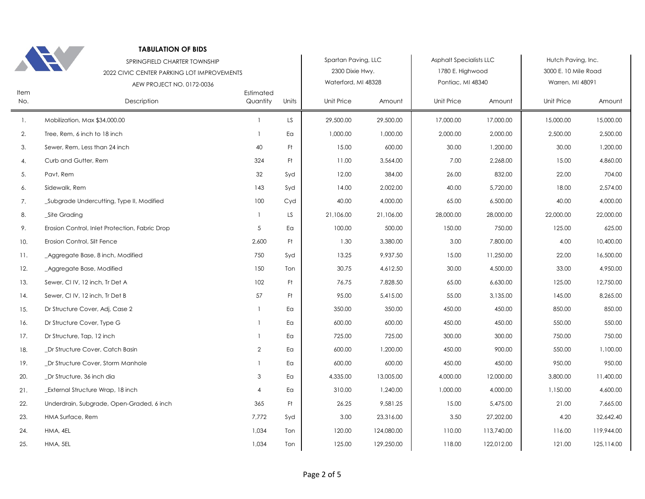|             | <b>TABULATION OF BIDS</b><br>SPRINGFIELD CHARTER TOWNSHIP |                       |       | Spartan Paving, LLC                    |            | <b>Asphalt Specialists LLC</b>        |            | Hutch Paving, Inc.                       |            |
|-------------|-----------------------------------------------------------|-----------------------|-------|----------------------------------------|------------|---------------------------------------|------------|------------------------------------------|------------|
|             | 2022 CIVIC CENTER PARKING LOT IMPROVEMENTS                |                       |       | 2300 Dixie Hwy.<br>Waterford, MI 48328 |            | 1780 E. Highwood<br>Pontiac, MI 48340 |            | 3000 E. 10 Mile Road<br>Warren, MI 48091 |            |
| Item<br>No. | AEW PROJECT NO. 0172-0036<br>Description                  | Estimated<br>Quantity | Units | Unit Price                             | Amount     | Unit Price                            | Amount     | Unit Price                               | Amount     |
| 1.          | Mobilization, Max \$34,000.00                             | $\mathbf{1}$          | LS.   | 29,500.00                              | 29,500.00  | 17,000.00                             | 17,000.00  | 15,000.00                                | 15,000.00  |
| 2.          | Tree, Rem, 6 inch to 18 inch                              | $\mathbf{1}$          | Eα    | 1,000.00                               | 1,000.00   | 2,000.00                              | 2,000.00   | 2,500.00                                 | 2,500.00   |
| 3.          | Sewer, Rem, Less than 24 inch                             | 40                    | Ft    | 15.00                                  | 600.00     | 30.00                                 | 1,200.00   | 30.00                                    | 1,200.00   |
| 4.          | Curb and Gutter, Rem                                      | 324                   | Ft    | 11.00                                  | 3,564.00   | 7.00                                  | 2,268.00   | 15.00                                    | 4,860.00   |
| 5.          | Pavt, Rem                                                 | 32                    | Syd   | 12.00                                  | 384.00     | 26.00                                 | 832.00     | 22.00                                    | 704.00     |
| 6.          | Sidewalk, Rem                                             | 143                   | Syd   | 14.00                                  | 2,002.00   | 40.00                                 | 5,720.00   | 18.00                                    | 2,574.00   |
| 7.          | Subgrade Undercutting, Type II, Modified                  | 100                   | Cyd   | 40.00                                  | 4,000.00   | 65.00                                 | 6,500.00   | 40.00                                    | 4,000.00   |
| 8.          | _Site Grading                                             | $\mathbf{1}$          | LS.   | 21,106.00                              | 21,106.00  | 28,000.00                             | 28,000.00  | 22,000.00                                | 22,000.00  |
| 9.          | Erosion Control, Inlet Protection, Fabric Drop            | 5                     | Ea    | 100.00                                 | 500.00     | 150.00                                | 750.00     | 125.00                                   | 625.00     |
| 10.         | Erosion Control, Silt Fence                               | 2,600                 | Ft    | 1.30                                   | 3,380.00   | 3.00                                  | 7,800.00   | 4.00                                     | 10,400.00  |
| 11.         | _Aggregate Base, 8 inch, Modified                         | 750                   | Syd   | 13.25                                  | 9,937.50   | 15.00                                 | 11,250.00  | 22.00                                    | 16,500.00  |
| 12.         | _Aggregate Base, Modified                                 | 150                   | Ton   | 30.75                                  | 4,612.50   | 30.00                                 | 4,500.00   | 33.00                                    | 4,950.00   |
| 13.         | Sewer, CI IV, 12 inch, Tr Det A                           | 102                   | Ft    | 76.75                                  | 7,828.50   | 65.00                                 | 6,630.00   | 125.00                                   | 12,750.00  |
| 14.         | Sewer, CI IV, 12 inch, Tr Det B                           | 57                    | Ft    | 95.00                                  | 5,415.00   | 55.00                                 | 3,135.00   | 145.00                                   | 8,265.00   |
| 15.         | Dr Structure Cover, Adj, Case 2                           | $\mathbf{1}$          | Ea    | 350.00                                 | 350.00     | 450.00                                | 450.00     | 850.00                                   | 850.00     |
| 16.         | Dr Structure Cover, Type G                                | 1                     | Ea    | 600.00                                 | 600.00     | 450.00                                | 450.00     | 550.00                                   | 550.00     |
| 17.         | Dr Structure, Tap, 12 inch                                | $\mathbf{1}$          | Ea    | 725.00                                 | 725.00     | 300.00                                | 300.00     | 750.00                                   | 750.00     |
| 18.         | _Dr Structure Cover, Catch Basin                          | $\overline{2}$        | Ea    | 600.00                                 | 1,200.00   | 450.00                                | 900.00     | 550.00                                   | 1,100.00   |
| 19.         | Dr Structure Cover, Storm Manhole                         | $\mathbf{1}$          | Ea    | 600.00                                 | 600.00     | 450.00                                | 450.00     | 950.00                                   | 950.00     |
| 20.         | _Dr Structure, 36 inch dia                                | 3                     | Ea    | 4,335.00                               | 13,005.00  | 4,000.00                              | 12,000.00  | 3,800.00                                 | 11,400.00  |
| 21.         | _External Structure Wrap, 18 inch                         | $\overline{4}$        | Ea    | 310.00                                 | 1,240.00   | 1,000.00                              | 4,000.00   | 1,150.00                                 | 4,600.00   |
| 22.         | Underdrain, Subgrade, Open-Graded, 6 inch                 | 365                   | Ft.   | 26.25                                  | 9,581.25   | 15.00                                 | 5,475.00   | 21.00                                    | 7,665.00   |
| 23.         | <b>HMA Surface, Rem</b>                                   | 7,772                 | Syd   | 3.00                                   | 23,316.00  | 3.50                                  | 27,202.00  | 4.20                                     | 32,642.40  |
| 24.         | HMA, 4EL                                                  | 1,034                 | Ton   | 120.00                                 | 124,080.00 | 110.00                                | 113,740.00 | 116.00                                   | 119,944.00 |
| 25.         | HMA, 5EL                                                  | 1,034                 | Ton   | 125.00                                 | 129,250.00 | 118.00                                | 122,012.00 | 121.00                                   | 125,114.00 |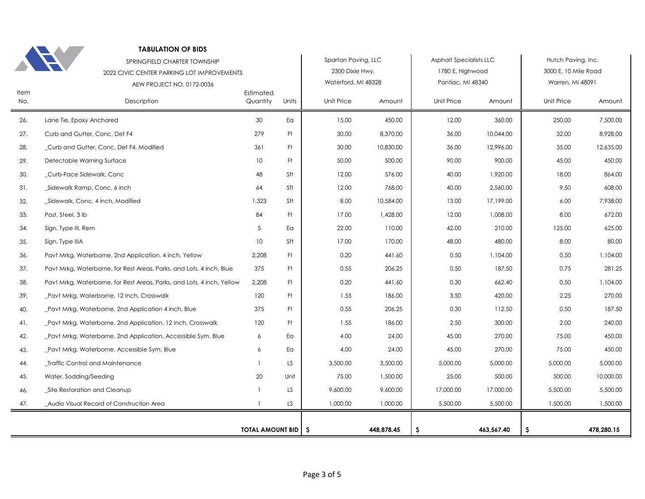|             | <b>TABULATION OF BIDS</b><br>SPRINGFIELD CHARTER TOWNSHIP<br>2022 CIVIC CENTER PARKING LOT IMPROVEMENTS<br>AEW PROJECT NO. 0172-0036 |                              |       | Spartan Paving, LLC<br>2300 Dixie Hwy.<br>Waterford, MI 48328 |            | Asphalt Specialists LLC<br>1780 E. Highwood<br>Pontiac, MI 48340 |            | Hutch Paving, Inc.<br>3000 E. 10 Mile Road<br>Warren, MI 48091 |            |
|-------------|--------------------------------------------------------------------------------------------------------------------------------------|------------------------------|-------|---------------------------------------------------------------|------------|------------------------------------------------------------------|------------|----------------------------------------------------------------|------------|
| Item<br>No. | Description                                                                                                                          | Estimated<br>Quantity        | Units | Unit Price                                                    | Amount     | Unit Price                                                       | Amount     | Unit Price                                                     | Amount     |
| 26.         | Lane Tie, Epoxy Anchored                                                                                                             | 30                           | Ea    | 15.00                                                         | 450.00     | 12.00                                                            | 360.00     | 250.00                                                         | 7,500.00   |
| 27.         | Curb and Gutter, Conc, Det F4                                                                                                        | 279                          | Ft    | 30.00                                                         | 8,370.00   | 36.00                                                            | 10,044.00  | 32.00                                                          | 8,928.00   |
| 28.         | _Curb and Gutter, Conc, Det F4, Modified                                                                                             | 361                          | Ft.   | 30.00                                                         | 10,830.00  | 36.00                                                            | 12,996.00  | 35.00                                                          | 12,635.00  |
| 29.         | Detectable Warning Surface                                                                                                           | 10 <sup>°</sup>              | Ft.   | 50.00                                                         | 500.00     | 90.00                                                            | 900.00     | 45.00                                                          | 450.00     |
| 30.         | _Curb-Face Sidewalk, Conc                                                                                                            | 48                           | Sft   | 12.00                                                         | 576.00     | 40.00                                                            | 1,920.00   | 18.00                                                          | 864.00     |
| 31.         | _Sidewalk Ramp, Conc, 6 inch                                                                                                         | 64                           | Sft   | 12.00                                                         | 768.00     | 40.00                                                            | 2,560.00   | 9.50                                                           | 608.00     |
| 32.         | _Sidewalk, Conc, 4 inch, Modified                                                                                                    | 1,323                        | Sft   | 8.00                                                          | 10,584.00  | 13.00                                                            | 17,199.00  | 6.00                                                           | 7,938.00   |
| 33.         | Post, Steel, 3 lb                                                                                                                    | 84                           | Ft.   | 17.00                                                         | 1,428.00   | 12.00                                                            | 1,008.00   | 8.00                                                           | 672.00     |
| 34.         | Sign, Type III, Rem                                                                                                                  | 5                            | Eα    | 22.00                                                         | 110.00     | 42.00                                                            | 210.00     | 125.00                                                         | 625.00     |
| 35.         | Sign, Type IIIA                                                                                                                      | 10                           | Sft   | 17.00                                                         | 170.00     | 48.00                                                            | 480.00     | 8.00                                                           | 80.00      |
| 36.         | Pavt Mrkg, Waterborne, 2nd Application, 4 inch, Yellow                                                                               | 2,208                        | Ft    | 0.20                                                          | 441.60     | 0.50                                                             | 1,104.00   | 0.50                                                           | 1,104.00   |
| 37.         | Pavt Mrkg, Waterborne, for Rest Areas, Parks, and Lots, 4 inch, Blue                                                                 | 375                          | Ft    | 0.55                                                          | 206.25     | 0.50                                                             | 187.50     | 0.75                                                           | 281.25     |
| 38.         | Pavt Mrkg, Waterborne, for Rest Areas, Parks, and Lots, 4 inch, Yellow                                                               | 2,208                        | Ft.   | 0.20                                                          | 441.60     | 0.30                                                             | 662.40     | 0.50                                                           | 1,104.00   |
| 39.         | _Pavt Mrkg, Waterborne, 12 Inch, Crosswalk                                                                                           | 120                          | Ft.   | 1.55                                                          | 186.00     | 3.50                                                             | 420.00     | 2.25                                                           | 270.00     |
| 40.         | Pavt Mrkg, Waterborne, 2nd Application 4 inch, Blue                                                                                  | 375                          | Ft.   | 0.55                                                          | 206.25     | 0.30                                                             | 112.50     | 0.50                                                           | 187.50     |
| 41.         | _Pavt Mrkg, Waterborne, 2nd Application, 12 Inch, Crosswalk                                                                          | 120                          | Ft    | 1.55                                                          | 186.00     | 2.50                                                             | 300.00     | 2.00                                                           | 240.00     |
| 42.         | Pavt Mrkg, Waterborne, 2nd Application, Accessible Sym, Blue                                                                         | 6                            | Ea    | 4.00                                                          | 24.00      | 45.00                                                            | 270.00     | 75.00                                                          | 450.00     |
| 43.         | _Pavt Mrkg, Waterborne, Accessible Sym, Blue                                                                                         | 6                            | Eα    | 4.00                                                          | 24.00      | 45.00                                                            | 270.00     | 75.00                                                          | 450.00     |
| 44.         | _Traffic Control and Maintenance                                                                                                     | $\mathbf{1}$                 | LS    | 3,500.00                                                      | 3,500.00   | 5,000.00                                                         | 5,000.00   | 5,000.00                                                       | 5,000.00   |
| 45.         | Water, Sodding/Seeding                                                                                                               | 20                           | Unit  | 75.00                                                         | 1,500.00   | 25.00                                                            | 500.00     | 500.00                                                         | 10,000.00  |
| 46.         | Site Restoration and Cleanup                                                                                                         | 1                            | LS    | 9,600.00                                                      | 9,600.00   | 17,000.00                                                        | 17,000.00  | 5,500.00                                                       | 5,500.00   |
| 47.         | Audio Visual Record of Construction Area                                                                                             | $\mathbf{1}$                 | LS.   | 1,000.00                                                      | 1,000.00   | 5,500.00                                                         | 5,500.00   | 1,500.00                                                       | 1,500.00   |
|             |                                                                                                                                      | <b>TOTAL AMOUNT BID   \$</b> |       |                                                               | 448,878.45 | \$                                                               | 463,567.40 | \$.                                                            | 478,280.15 |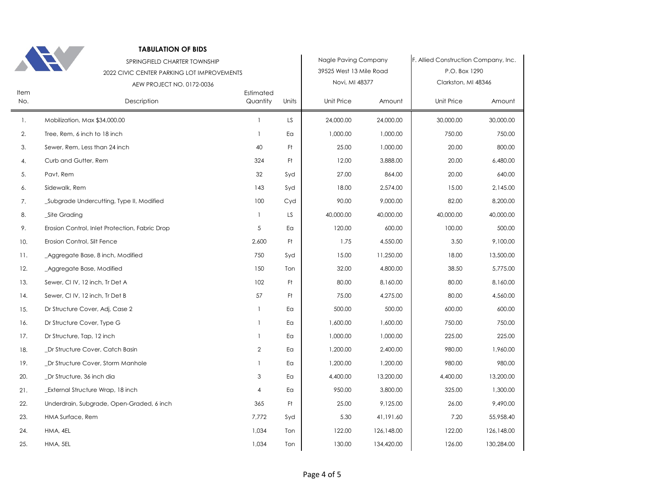| ٠ |  |
|---|--|

## **TABULATION OF BIDS**

|             | SPRINGFIELD CHARTER TOWNSHIP<br>2022 CIVIC CENTER PARKING LOT IMPROVEMENTS<br>AEW PROJECT NO. 0172-0036 |                       |       | Nagle Paving Company<br>39525 West 13 Mile Road<br>Novi, MI 48377 |            | F. Allied Construction Company, Inc.<br>P.O. Box 1290<br>Clarkston, MI 48346 |            |
|-------------|---------------------------------------------------------------------------------------------------------|-----------------------|-------|-------------------------------------------------------------------|------------|------------------------------------------------------------------------------|------------|
| Item<br>No. | Description                                                                                             | Estimated<br>Quantity | Units | Unit Price                                                        | Amount     | Unit Price                                                                   | Amount     |
| 1.          | Mobilization, Max \$34,000.00                                                                           | $\mathbf{1}$          | LS.   | 24,000.00                                                         | 24,000.00  | 30,000.00                                                                    | 30,000.00  |
| 2.          | Tree, Rem, 6 inch to 18 inch                                                                            | $\mathbf{1}$          | Eα    | 1,000.00                                                          | 1,000.00   | 750.00                                                                       | 750.00     |
| 3.          | Sewer, Rem, Less than 24 inch                                                                           | 40                    | Ft.   | 25.00                                                             | 1,000.00   | 20.00                                                                        | 800.00     |
| 4.          | Curb and Gutter, Rem                                                                                    | 324                   | Ft.   | 12.00                                                             | 3,888.00   | 20.00                                                                        | 6,480.00   |
| 5.          | Pavt, Rem                                                                                               | 32                    | Syd   | 27.00                                                             | 864.00     | 20.00                                                                        | 640.00     |
| 6.          | Sidewalk, Rem                                                                                           | 143                   | Syd   | 18.00                                                             | 2,574.00   | 15.00                                                                        | 2,145.00   |
| 7.          | Subgrade Undercutting, Type II, Modified                                                                | 100                   | Cyd   | 90.00                                                             | 9,000.00   | 82.00                                                                        | 8,200.00   |
| 8.          | _Site Grading                                                                                           | 1                     | LS    | 40,000.00                                                         | 40,000.00  | 40,000.00                                                                    | 40,000.00  |
| 9.          | Erosion Control, Inlet Protection, Fabric Drop                                                          | 5                     | Ea    | 120.00                                                            | 600.00     | 100.00                                                                       | 500.00     |
| 10.         | Erosion Control, Silt Fence                                                                             | 2,600                 | Ft    | 1.75                                                              | 4,550.00   | 3.50                                                                         | 9,100.00   |
| 11.         | Aggregate Base, 8 inch, Modified                                                                        | 750                   | Syd   | 15.00                                                             | 11,250.00  | 18.00                                                                        | 13,500.00  |
| 12.         | _Aggregate Base, Modified                                                                               | 150                   | Ton   | 32.00                                                             | 4,800.00   | 38.50                                                                        | 5,775.00   |
| 13.         | Sewer, CI IV, 12 inch, Tr Det A                                                                         | 102                   | Ft.   | 80.00                                                             | 8,160.00   | 80.00                                                                        | 8,160.00   |
| 14.         | Sewer, CI IV, 12 inch, Tr Det B                                                                         | 57                    | Ft    | 75.00                                                             | 4,275.00   | 80.00                                                                        | 4,560.00   |
| 15.         | Dr Structure Cover, Adj, Case 2                                                                         | 1                     | Ea    | 500.00                                                            | 500.00     | 600.00                                                                       | 600.00     |
| 16.         | Dr Structure Cover, Type G                                                                              | 1                     | Ea    | 1,600.00                                                          | 1,600.00   | 750.00                                                                       | 750.00     |
| 17.         | Dr Structure, Tap, 12 inch                                                                              | -1                    | Ea    | 1,000.00                                                          | 1,000.00   | 225.00                                                                       | 225.00     |
| 18.         | _Dr Structure Cover, Catch Basin                                                                        | $\overline{2}$        | Ea    | 1,200.00                                                          | 2,400.00   | 980.00                                                                       | 1,960.00   |
| 19.         | _Dr Structure Cover, Storm Manhole                                                                      | 1                     | Ea    | 1,200.00                                                          | 1,200.00   | 980.00                                                                       | 980.00     |
| 20.         | _Dr Structure, 36 inch dia                                                                              | 3                     | Ea    | 4,400.00                                                          | 13,200.00  | 4,400.00                                                                     | 13,200.00  |
| 21.         | External Structure Wrap, 18 inch                                                                        | $\overline{4}$        | Eα    | 950.00                                                            | 3,800.00   | 325.00                                                                       | 1,300.00   |
| 22.         | Underdrain, Subgrade, Open-Graded, 6 inch                                                               | 365                   | Ft    | 25.00                                                             | 9,125.00   | 26.00                                                                        | 9,490.00   |
| 23.         | HMA Surface, Rem                                                                                        | 7,772                 | Syd   | 5.30                                                              | 41,191.60  | 7.20                                                                         | 55,958.40  |
| 24.         | HMA, 4EL                                                                                                | 1,034                 | Ton   | 122.00                                                            | 126,148.00 | 122.00                                                                       | 126,148.00 |
| 25.         | HMA, 5EL                                                                                                | 1,034                 | Ton   | 130.00                                                            | 134,420.00 | 126.00                                                                       | 130,284.00 |